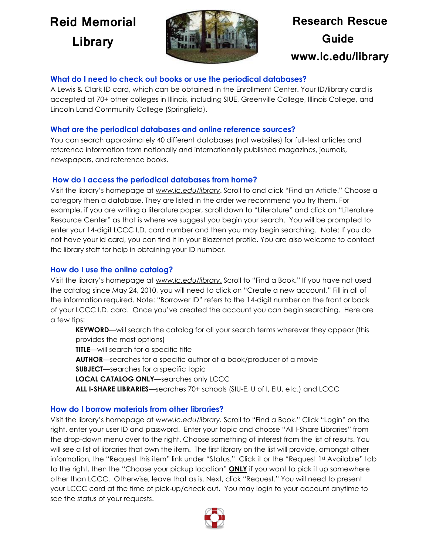# **Reid Memorial Library**



# **Research Rescue Guide www.lc.edu/library**

# **What do I need to check out books or use the periodical databases?**

A Lewis & Clark ID card, which can be obtained in the Enrollment Center. Your ID/library card is accepted at 70+ other colleges in Illinois, including SIUE, Greenville College, Illinois College, and Lincoln Land Community College (Springfield).

## **What are the periodical databases and online reference sources?**

You can search approximately 40 different databases (not websites) for full-text articles and reference information from nationally and internationally published magazines, journals, newspapers, and reference books.

## **How do I access the periodical databases from home?**

Visit the library's homepage at *www.lc.edu/library*. Scroll to and click "Find an Article." Choose a category then a database. They are listed in the order we recommend you try them. For example, if you are writing a literature paper, scroll down to "Literature" and click on "Literature Resource Center" as that is where we suggest you begin your search. You will be prompted to enter your 14-digit LCCC I.D. card number and then you may begin searching. Note: If you do not have your id card, you can find it in your Blazernet profile. You are also welcome to contact the library staff for help in obtaining your ID number.

## **How do I use the online catalog?**

Visit the library's homepage at w*ww.lc.edu/library*. Scroll to "Find a Book." If you have not used the catalog since May 24, 2010, you will need to click on "Create a new account." Fill in all of the information required. Note: "Borrower ID" refers to the 14-digit number on the front or back of your LCCC I.D. card. Once you've created the account you can begin searching. Here are a few tips:

**KEYWORD—will search the catalog for all your search terms wherever they appear (this** provides the most options) **TITLE**—will search for a specific title **AUTHOR**—searches for a specific author of a book/producer of a movie **SUBJECT**—searches for a specific topic **LOCAL CATALOG ONLY**—searches only LCCC **ALL I-SHARE LIBRARIES**—searches 70+ schools (SIU-E, U of I, EIU, etc.) and LCCC

## **How do I borrow materials from other libraries?**

Visit the library's homepage at *www.lc.edu/library.* Scroll to "Find a Book." Click "Login" on the right, enter your user ID and password. Enter your topic and choose "All I-Share Libraries" from the drop-down menu over to the right. Choose something of interest from the list of results. You will see a list of libraries that own the item. The first library on the list will provide, amongst other information, the "Request this item" link under "Status." Click it or the "Request 1st Available" tab to the right, then the "Choose your pickup location" **ONLY** if you want to pick it up somewhere other than LCCC. Otherwise, leave that as is. Next, click "Request." You will need to present your LCCC card at the time of pick-up/check out. You may login to your account anytime to see the status of your requests.

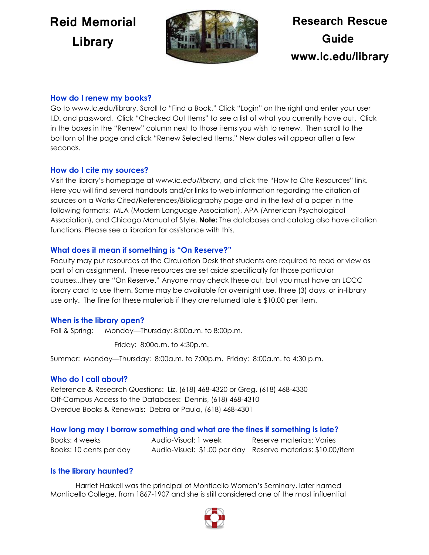**Reid Memorial Library**



# **Research Rescue Guide www.lc.edu/library**

## **How do I renew my books?**

Go to www.lc.edu/library. Scroll to "Find a Book." Click "Login" on the right and enter your user I.D. and password. Click "Checked Out Items" to see a list of what you currently have out. Click in the boxes in the "Renew" column next to those items you wish to renew. Then scroll to the bottom of the page and click "Renew Selected Items." New dates will appear after a few seconds.

#### **How do I cite my sources?**

Visit the library's homepage at *www.lc.edu/library*, and click the "How to Cite Resources" link. Here you will find several handouts and/or links to web information regarding the citation of sources on a Works Cited/References/Bibliography page and in the text of a paper in the following formats: MLA (Modern Language Association), APA (American Psychological Association), and Chicago Manual of Style. **Note:** The databases and catalog also have citation functions. Please see a librarian for assistance with this.

#### **What does it mean if something is "On Reserve?"**

Faculty may put resources at the Circulation Desk that students are required to read or view as part of an assignment. These resources are set aside specifically for those particular courses...they are "On Reserve." Anyone may check these out, but you must have an LCCC library card to use them. Some may be available for overnight use, three (3) days, or in-library use only. The fine for these materials if they are returned late is \$10.00 per item.

#### **When is the library open?**

Fall & Spring: Monday—Thursday: 8:00a.m. to 8:00p.m.

Friday: 8:00a.m. to 4:30p.m.

Summer: Monday—Thursday: 8:00a.m. to 7:00p.m. Friday: 8:00a.m. to 4:30 p.m.

#### **Who do I call about?**

Reference & Research Questions: Liz, (618) 468-4320 or Greg, (618) 468-4330 Off-Campus Access to the Databases: Dennis, (618) 468-4310 Overdue Books & Renewals: Debra or Paula, (618) 468-4301

#### **How long may I borrow something and what are the fines if something is late?**

Books: 4 weeks Audio-Visual: 1 week Reserve materials: Varies Books: 10 cents per day Audio-Visual: \$1.00 per day Reserve materials: \$10.00/item

#### **Is the library haunted?**

Harriet Haskell was the principal of Monticello Women's Seminary, later named Monticello College, from 1867-1907 and she is still considered one of the most influential